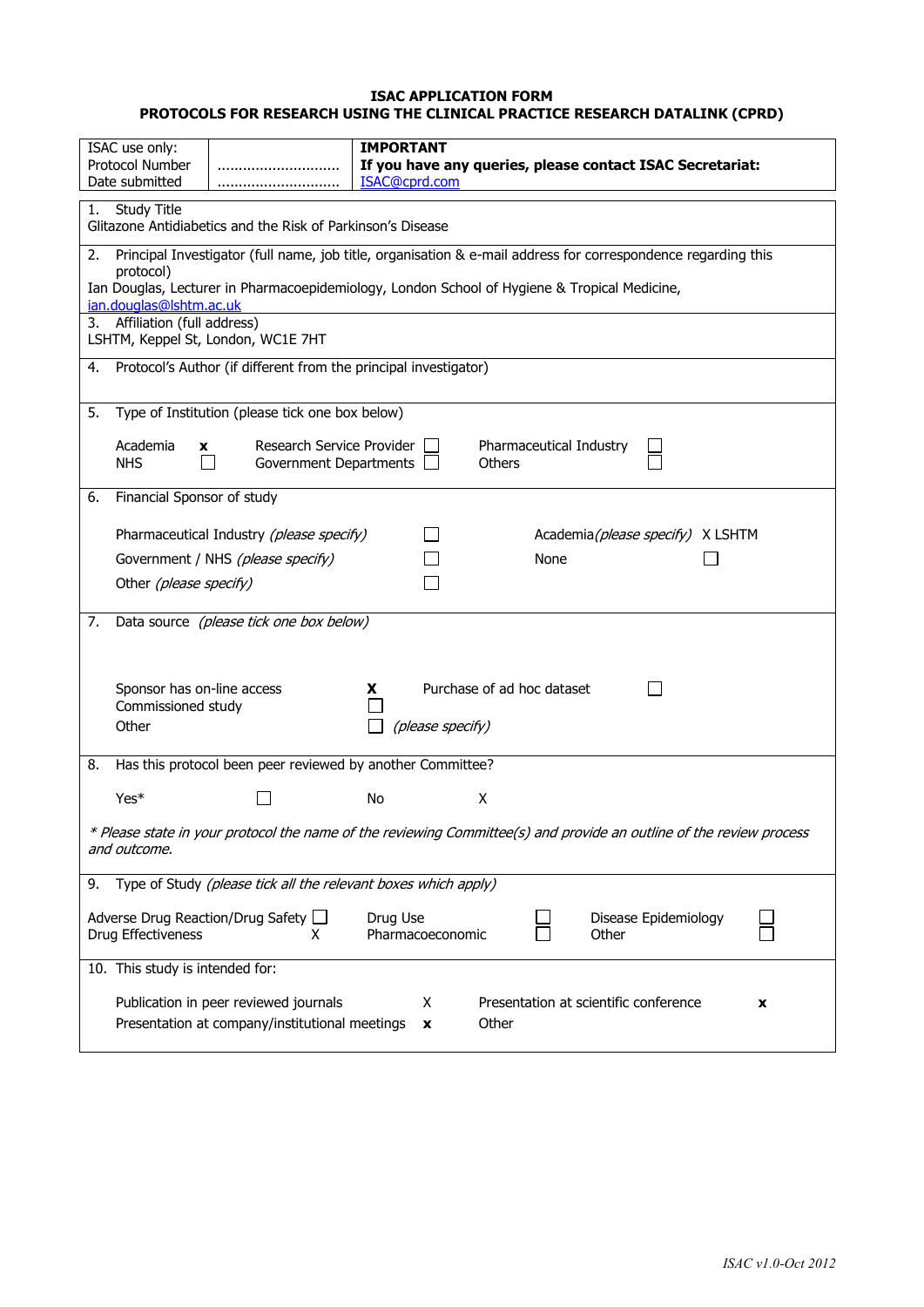#### **ISAC APPLICATION FORM PROTOCOLS FOR RESEARCH USING THE CLINICAL PRACTICE RESEARCH DATALINK (CPRD)**

| <b>IMPORTANT</b><br>ISAC use only:<br><b>Protocol Number</b><br>If you have any queries, please contact ISAC Secretariat:<br>Date submitted<br>ISAC@cprd.com                                                                                                |  |  |  |  |  |
|-------------------------------------------------------------------------------------------------------------------------------------------------------------------------------------------------------------------------------------------------------------|--|--|--|--|--|
| Study Title<br>1.<br>Glitazone Antidiabetics and the Risk of Parkinson's Disease                                                                                                                                                                            |  |  |  |  |  |
| Principal Investigator (full name, job title, organisation & e-mail address for correspondence regarding this<br>2.<br>protocol)<br>Ian Douglas, Lecturer in Pharmacoepidemiology, London School of Hygiene & Tropical Medicine,<br>ian.douglas@lshtm.ac.uk |  |  |  |  |  |
| 3. Affiliation (full address)<br>LSHTM, Keppel St, London, WC1E 7HT                                                                                                                                                                                         |  |  |  |  |  |
| Protocol's Author (if different from the principal investigator)<br>4.                                                                                                                                                                                      |  |  |  |  |  |
| Type of Institution (please tick one box below)<br>5.                                                                                                                                                                                                       |  |  |  |  |  |
| Academia<br>Research Service Provider<br>Pharmaceutical Industry<br><b>X</b><br><b>NHS</b><br>Government Departments<br>Others                                                                                                                              |  |  |  |  |  |
| Financial Sponsor of study<br>6.                                                                                                                                                                                                                            |  |  |  |  |  |
| Pharmaceutical Industry (please specify)<br>Academia(please specify) X LSHTM<br>None<br>Government / NHS (please specify)<br>Other (please specify)                                                                                                         |  |  |  |  |  |
| Data source (please tick one box below)<br>7.                                                                                                                                                                                                               |  |  |  |  |  |
| Sponsor has on-line access<br>Purchase of ad hoc dataset<br>x<br>Commissioned study<br>Other<br>(please specify)                                                                                                                                            |  |  |  |  |  |
| Has this protocol been peer reviewed by another Committee?<br>8.                                                                                                                                                                                            |  |  |  |  |  |
| Yes*<br>No<br>X                                                                                                                                                                                                                                             |  |  |  |  |  |
| * Please state in your protocol the name of the reviewing Committee(s) and provide an outline of the review process<br>and outcome.                                                                                                                         |  |  |  |  |  |
| Type of Study (please tick all the relevant boxes which apply)<br>9.                                                                                                                                                                                        |  |  |  |  |  |
| Adverse Drug Reaction/Drug Safety □<br>Drug Use<br>Disease Epidemiology<br>Drug Effectiveness<br>Pharmacoeconomic<br>Other<br>x.                                                                                                                            |  |  |  |  |  |
| 10. This study is intended for:                                                                                                                                                                                                                             |  |  |  |  |  |
| Publication in peer reviewed journals<br>Presentation at scientific conference<br>Χ<br>x<br>Presentation at company/institutional meetings<br>Other<br>x                                                                                                    |  |  |  |  |  |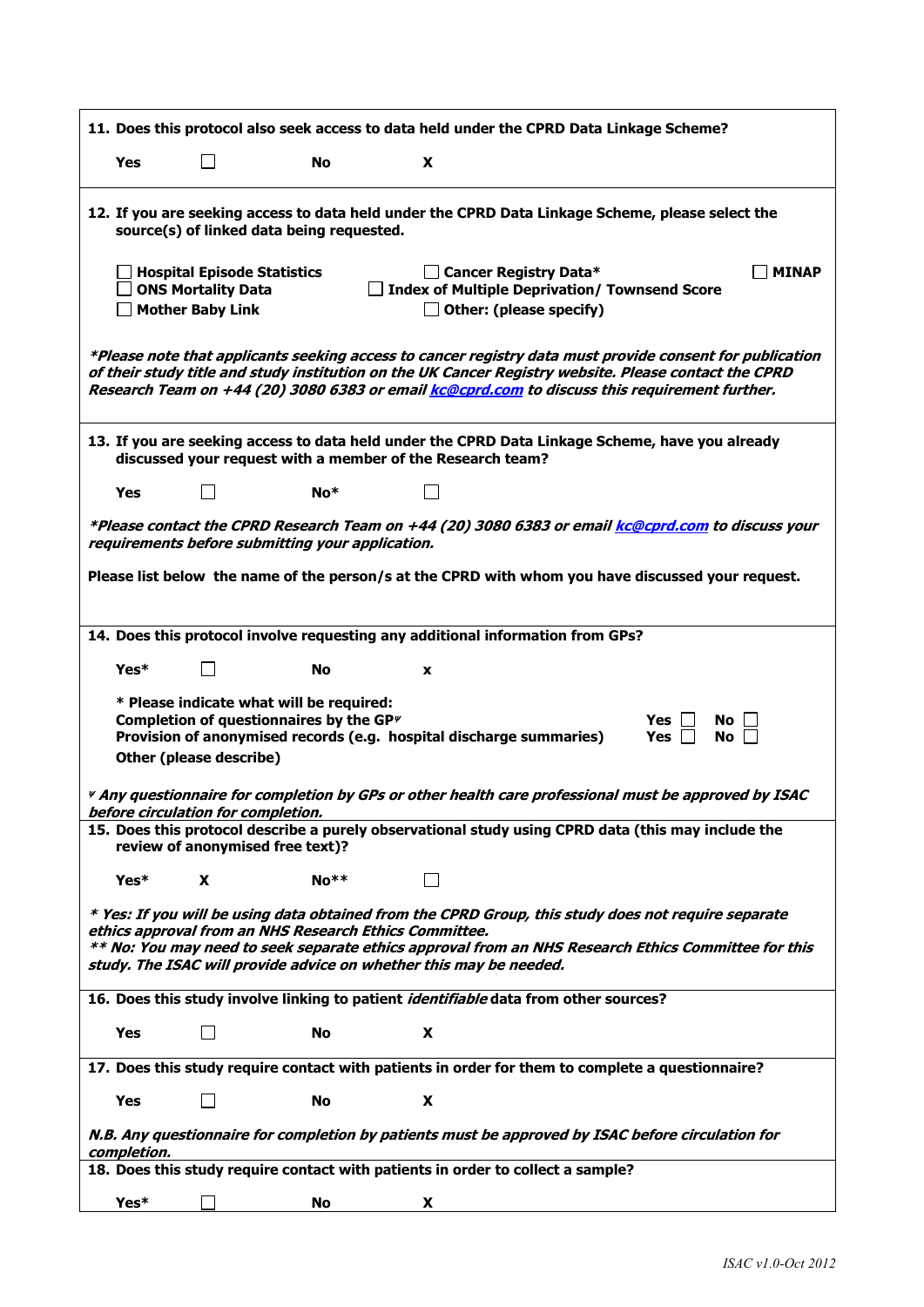|             |                                                                                     |                                                                                                                              |   | 11. Does this protocol also seek access to data held under the CPRD Data Linkage Scheme?                                                                                                                                                                                                                           |
|-------------|-------------------------------------------------------------------------------------|------------------------------------------------------------------------------------------------------------------------------|---|--------------------------------------------------------------------------------------------------------------------------------------------------------------------------------------------------------------------------------------------------------------------------------------------------------------------|
| <b>Yes</b>  |                                                                                     | No.                                                                                                                          | X |                                                                                                                                                                                                                                                                                                                    |
|             |                                                                                     | source(s) of linked data being requested.                                                                                    |   | 12. If you are seeking access to data held under the CPRD Data Linkage Scheme, please select the                                                                                                                                                                                                                   |
|             | <b>Hospital Episode Statistics</b><br><b>ONS Mortality Data</b><br>Mother Baby Link |                                                                                                                              |   | □ Cancer Registry Data*<br><b>MINAP</b><br><b>Index of Multiple Deprivation/ Townsend Score</b><br>$\Box$ Other: (please specify)                                                                                                                                                                                  |
|             |                                                                                     |                                                                                                                              |   | *Please note that applicants seeking access to cancer registry data must provide consent for publication<br>of their study title and study institution on the UK Cancer Registry website. Please contact the CPRD<br>Research Team on +44 (20) 3080 6383 or email kc@cprd.com to discuss this requirement further. |
|             |                                                                                     | discussed your request with a member of the Research team?                                                                   |   | 13. If you are seeking access to data held under the CPRD Data Linkage Scheme, have you already                                                                                                                                                                                                                    |
| Yes         | $\mathsf{L}$                                                                        | No*                                                                                                                          | П |                                                                                                                                                                                                                                                                                                                    |
| Yes*        |                                                                                     | <b>No</b><br>* Please indicate what will be required:<br>Completion of questionnaires by the GP $\psi$                       | X | Please list below the name of the person/s at the CPRD with whom you have discussed your request.<br>14. Does this protocol involve requesting any additional information from GPs?<br>Yes l<br>No l<br>Provision of anonymised records (e.g. hospital discharge summaries)<br>Yes I<br><b>No</b>                  |
|             | Other (please describe)<br>before circulation for completion.                       |                                                                                                                              |   | Any questionnaire for completion by GPs or other health care professional must be approved by ISAC #<br>15. Does this protocol describe a purely observational study using CPRD data (this may include the                                                                                                         |
|             | review of anonymised free text)?                                                    |                                                                                                                              |   |                                                                                                                                                                                                                                                                                                                    |
| Yes*        | X                                                                                   | $No**$                                                                                                                       |   |                                                                                                                                                                                                                                                                                                                    |
|             |                                                                                     | ethics approval from an NHS Research Ethics Committee.<br>study. The ISAC will provide advice on whether this may be needed. |   | * Yes: If you will be using data obtained from the CPRD Group, this study does not require separate<br>** No: You may need to seek separate ethics approval from an NHS Research Ethics Committee for this                                                                                                         |
|             |                                                                                     |                                                                                                                              |   | 16. Does this study involve linking to patient <i>identifiable</i> data from other sources?                                                                                                                                                                                                                        |
| <b>Yes</b>  |                                                                                     | No                                                                                                                           | X |                                                                                                                                                                                                                                                                                                                    |
|             |                                                                                     |                                                                                                                              |   | 17. Does this study require contact with patients in order for them to complete a questionnaire?                                                                                                                                                                                                                   |
| <b>Yes</b>  |                                                                                     | No                                                                                                                           | X |                                                                                                                                                                                                                                                                                                                    |
| completion. |                                                                                     |                                                                                                                              |   | N.B. Any questionnaire for completion by patients must be approved by ISAC before circulation for                                                                                                                                                                                                                  |
|             |                                                                                     |                                                                                                                              |   | 18. Does this study require contact with patients in order to collect a sample?                                                                                                                                                                                                                                    |
| Yes*        |                                                                                     | No                                                                                                                           | X |                                                                                                                                                                                                                                                                                                                    |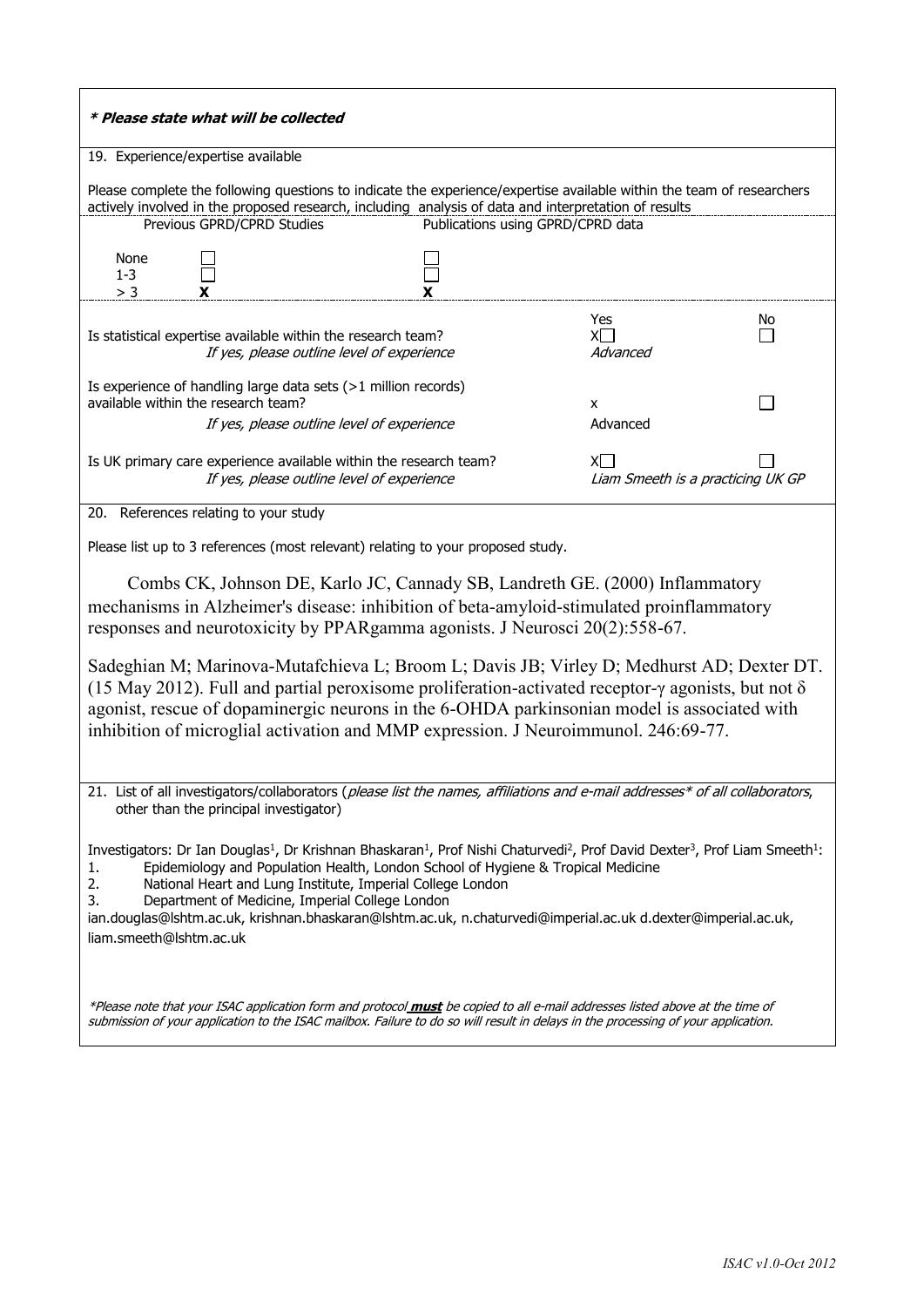| * Please state what will be collected                                                                                                                                                                                                                                                                                                                                                              |                                                                                                                                                                                                                                                                                                                                                                                                                                                            |                                           |    |
|----------------------------------------------------------------------------------------------------------------------------------------------------------------------------------------------------------------------------------------------------------------------------------------------------------------------------------------------------------------------------------------------------|------------------------------------------------------------------------------------------------------------------------------------------------------------------------------------------------------------------------------------------------------------------------------------------------------------------------------------------------------------------------------------------------------------------------------------------------------------|-------------------------------------------|----|
| 19. Experience/expertise available                                                                                                                                                                                                                                                                                                                                                                 |                                                                                                                                                                                                                                                                                                                                                                                                                                                            |                                           |    |
| Previous GPRD/CPRD Studies                                                                                                                                                                                                                                                                                                                                                                         | Please complete the following questions to indicate the experience/expertise available within the team of researchers<br>actively involved in the proposed research, including analysis of data and interpretation of results                                                                                                                                                                                                                              | Publications using GPRD/CPRD data         |    |
| None<br>$1-3$<br>> 3                                                                                                                                                                                                                                                                                                                                                                               |                                                                                                                                                                                                                                                                                                                                                                                                                                                            |                                           |    |
| Is statistical expertise available within the research team?                                                                                                                                                                                                                                                                                                                                       | If yes, please outline level of experience                                                                                                                                                                                                                                                                                                                                                                                                                 | Yes<br>$X\Box$<br>Advanced                | No |
| Is experience of handling large data sets (>1 million records)<br>available within the research team?                                                                                                                                                                                                                                                                                              | If yes, please outline level of experience                                                                                                                                                                                                                                                                                                                                                                                                                 | x<br>Advanced                             |    |
| Is UK primary care experience available within the research team?                                                                                                                                                                                                                                                                                                                                  | If yes, please outline level of experience                                                                                                                                                                                                                                                                                                                                                                                                                 | XI I<br>Liam Smeeth is a practicing UK GP |    |
| 20. References relating to your study                                                                                                                                                                                                                                                                                                                                                              |                                                                                                                                                                                                                                                                                                                                                                                                                                                            |                                           |    |
|                                                                                                                                                                                                                                                                                                                                                                                                    | Please list up to 3 references (most relevant) relating to your proposed study.                                                                                                                                                                                                                                                                                                                                                                            |                                           |    |
|                                                                                                                                                                                                                                                                                                                                                                                                    | Combs CK, Johnson DE, Karlo JC, Cannady SB, Landreth GE. (2000) Inflammatory<br>mechanisms in Alzheimer's disease: inhibition of beta-amyloid-stimulated proinflammatory<br>responses and neurotoxicity by PPARgamma agonists. J Neurosci 20(2):558-67.                                                                                                                                                                                                    |                                           |    |
| Sadeghian M; Marinova-Mutafchieva L; Broom L; Davis JB; Virley D; Medhurst AD; Dexter DT.<br>(15 May 2012). Full and partial peroxisome proliferation-activated receptor- $\gamma$ agonists, but not $\delta$<br>agonist, rescue of dopaminergic neurons in the 6-OHDA parkinsonian model is associated with<br>inhibition of microglial activation and MMP expression. J Neuroimmunol. 246:69-77. |                                                                                                                                                                                                                                                                                                                                                                                                                                                            |                                           |    |
| other than the principal investigator)                                                                                                                                                                                                                                                                                                                                                             | 21. List of all investigators/collaborators ( <i>please list the names, affiliations and e-mail addresses* of all collaborators</i> ,                                                                                                                                                                                                                                                                                                                      |                                           |    |
| 1.<br>2.<br>3.<br>Department of Medicine, Imperial College London<br>liam.smeeth@lshtm.ac.uk                                                                                                                                                                                                                                                                                                       | Investigators: Dr Ian Douglas <sup>1</sup> , Dr Krishnan Bhaskaran <sup>1</sup> , Prof Nishi Chaturvedi <sup>2</sup> , Prof David Dexter <sup>3</sup> , Prof Liam Smeeth <sup>1</sup> :<br>Epidemiology and Population Health, London School of Hygiene & Tropical Medicine<br>National Heart and Lung Institute, Imperial College London<br>ian.douglas@lshtm.ac.uk, krishnan.bhaskaran@lshtm.ac.uk, n.chaturvedi@imperial.ac.uk d.dexter@imperial.ac.uk, |                                           |    |
|                                                                                                                                                                                                                                                                                                                                                                                                    | *Please note that your ISAC application form and protocol must be copied to all e-mail addresses listed above at the time of<br>submission of your application to the ISAC mailbox. Failure to do so will result in delays in the processing of your application.                                                                                                                                                                                          |                                           |    |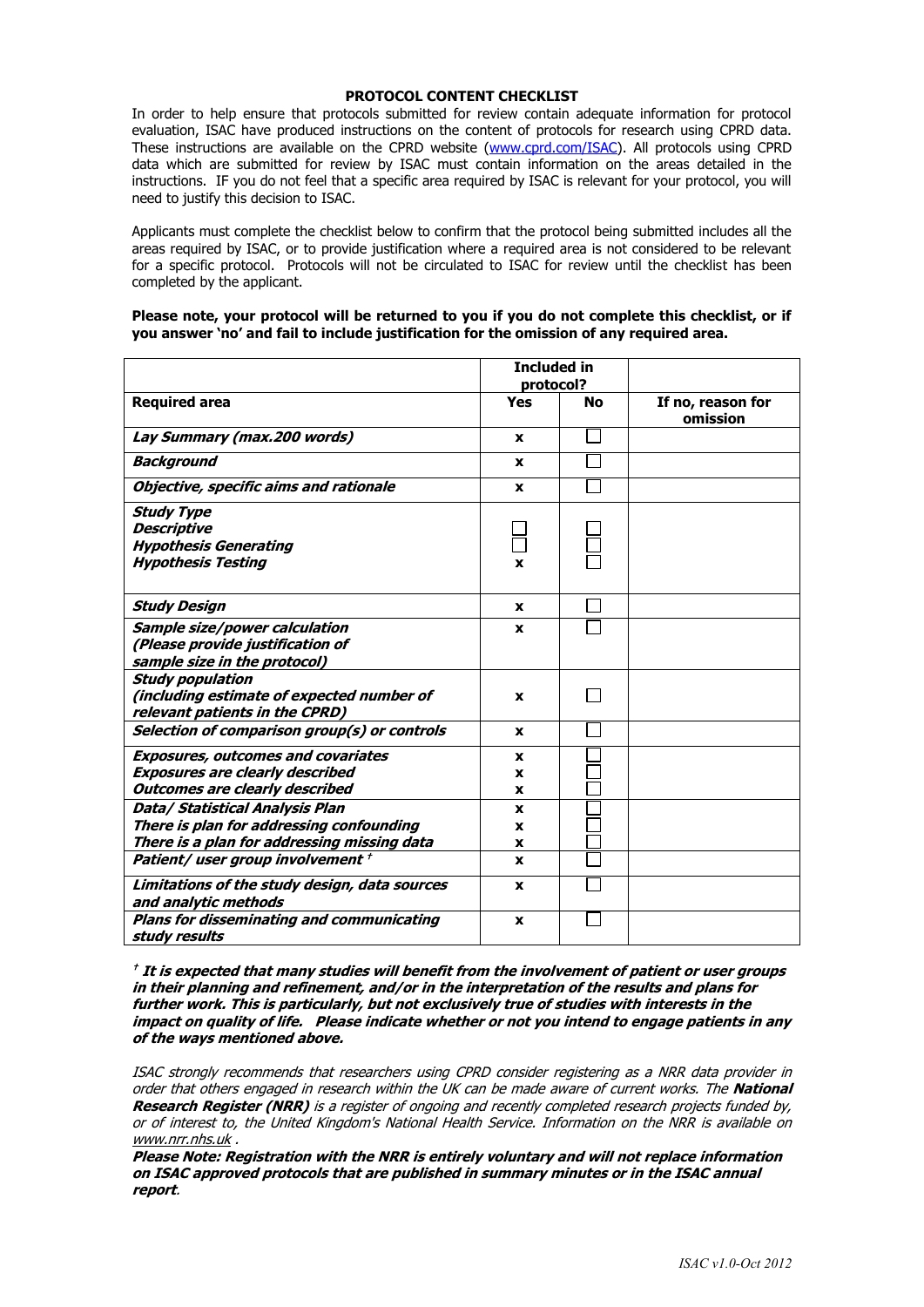#### **PROTOCOL CONTENT CHECKLIST**

In order to help ensure that protocols submitted for review contain adequate information for protocol evaluation, ISAC have produced instructions on the content of protocols for research using CPRD data. These instructions are available on the CPRD website [\(www.cprd.com/ISAC\)](http://www.cprd.com/ISAC). All protocols using CPRD data which are submitted for review by ISAC must contain information on the areas detailed in the instructions. IF you do not feel that a specific area required by ISAC is relevant for your protocol, you will need to justify this decision to ISAC.

Applicants must complete the checklist below to confirm that the protocol being submitted includes all the areas required by ISAC, or to provide justification where a required area is not considered to be relevant for a specific protocol. Protocols will not be circulated to ISAC for review until the checklist has been completed by the applicant.

#### **Please note, your protocol will be returned to you if you do not complete this checklist, or if you answer 'no' and fail to include justification for the omission of any required area.**

|                                                                                                                              | <b>Included in</b><br>protocol? |    |                               |
|------------------------------------------------------------------------------------------------------------------------------|---------------------------------|----|-------------------------------|
| <b>Required area</b>                                                                                                         | Yes                             | No | If no, reason for<br>omission |
| Lay Summary (max.200 words)                                                                                                  | x                               |    |                               |
| Background                                                                                                                   | x                               |    |                               |
| Objective, specific aims and rationale                                                                                       | X                               |    |                               |
| <b>Study Type</b><br><b>Descriptive</b><br><b>Hypothesis Generating</b><br><b>Hypothesis Testing</b>                         | X                               |    |                               |
| <b>Study Design</b>                                                                                                          | x                               |    |                               |
| Sample size/power calculation<br>(Please provide justification of<br>sample size in the protocol)                            | x                               |    |                               |
| <b>Study population</b><br>(including estimate of expected number of<br>relevant patients in the CPRD)                       | x                               |    |                               |
| Selection of comparison group(s) or controls                                                                                 | x                               |    |                               |
| <b>Exposures, outcomes and covariates</b><br><b>Exposures are clearly described</b><br><b>Outcomes are clearly described</b> | X<br>x<br>x                     |    |                               |
| Data/ Statistical Analysis Plan<br>There is plan for addressing confounding<br>There is a plan for addressing missing data   | x<br>x<br>X                     |    |                               |
| Patient/user group involvement +<br>Limitations of the study design, data sources                                            | x<br>x                          |    |                               |
| and analytic methods<br><b>Plans for disseminating and communicating</b><br>study results                                    | X                               |    |                               |

**† It is expected that many studies will benefit from the involvement of patient or user groups in their planning and refinement, and/or in the interpretation of the results and plans for further work. This is particularly, but not exclusively true of studies with interests in the impact on quality of life. Please indicate whether or not you intend to engage patients in any of the ways mentioned above.**

ISAC strongly recommends that researchers using CPRD consider registering as a NRR data provider in order that others engaged in research within the UK can be made aware of current works. The **National Research Register (NRR)** is a register of ongoing and recently completed research projects funded by, or of interest to, the United Kingdom's National Health Service. Information on the NRR is available on [www.nrr.nhs.uk](http://www.nrr.nhs.uk/) .

**Please Note: Registration with the NRR is entirely voluntary and will not replace information on ISAC approved protocols that are published in summary minutes or in the ISAC annual report**.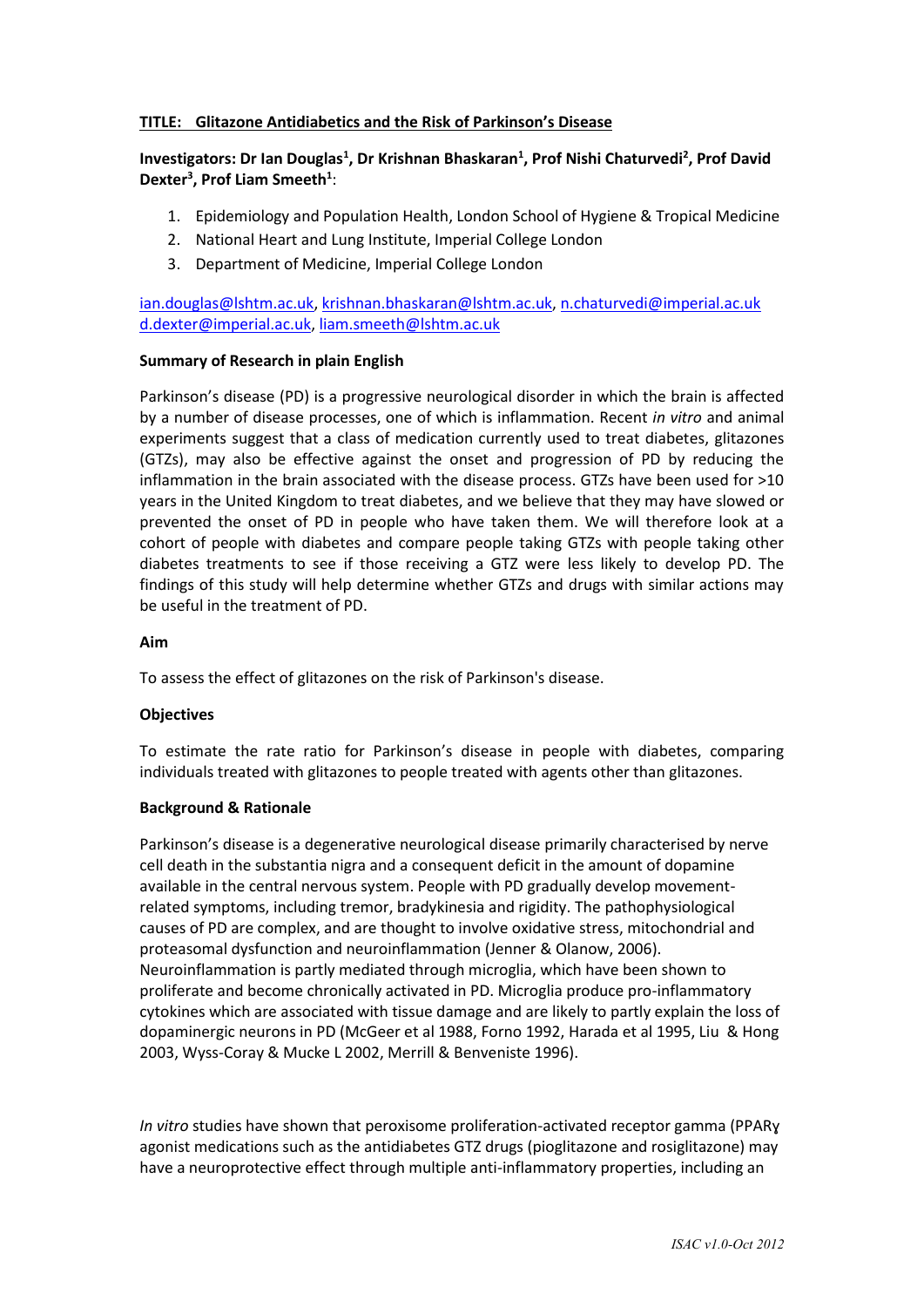## **TITLE: Glitazone Antidiabetics and the Risk of Parkinson's Disease**

# Investigators: Dr Ian Douglas<sup>1</sup>, Dr Krishnan Bhaskaran<sup>1</sup>, Prof Nishi Chaturvedi<sup>2</sup>, Prof David **Dexter<sup>3</sup> , Prof Liam Smeeth<sup>1</sup>** :

- 1. Epidemiology and Population Health, London School of Hygiene & Tropical Medicine
- 2. National Heart and Lung Institute, Imperial College London
- 3. Department of Medicine, Imperial College London

[ian.douglas@lshtm.ac.uk,](mailto:ian.douglas@lshtm.ac.uk) [krishnan.bhaskaran@lshtm.ac.uk,](mailto:krishnan.bhaskaran@lshtm.ac.uk) [n.chaturvedi@imperial.ac.uk](mailto:n.chaturvedi@imperial.ac.uk) [d.dexter@imperial.ac.uk,](mailto:d.dexter@imperial.ac.uk) [liam.smeeth@lshtm.ac.uk](mailto:liam.smeeth@lshtm.ac.uk)

## **Summary of Research in plain English**

Parkinson's disease (PD) is a progressive neurological disorder in which the brain is affected by a number of disease processes, one of which is inflammation. Recent *in vitro* and animal experiments suggest that a class of medication currently used to treat diabetes, glitazones (GTZs), may also be effective against the onset and progression of PD by reducing the inflammation in the brain associated with the disease process. GTZs have been used for >10 years in the United Kingdom to treat diabetes, and we believe that they may have slowed or prevented the onset of PD in people who have taken them. We will therefore look at a cohort of people with diabetes and compare people taking GTZs with people taking other diabetes treatments to see if those receiving a GTZ were less likely to develop PD. The findings of this study will help determine whether GTZs and drugs with similar actions may be useful in the treatment of PD.

#### **Aim**

To assess the effect of glitazones on the risk of Parkinson's disease.

#### **Objectives**

To estimate the rate ratio for Parkinson's disease in people with diabetes, comparing individuals treated with glitazones to people treated with agents other than glitazones.

#### **Background & Rationale**

Parkinson's disease is a degenerative neurological disease primarily characterised by nerve cell death in the substantia nigra and a consequent deficit in the amount of dopamine available in the central nervous system. People with PD gradually develop movementrelated symptoms, including tremor, bradykinesia and rigidity. The pathophysiological causes of PD are complex, and are thought to involve oxidative stress, mitochondrial and proteasomal dysfunction and neuroinflammation (Jenner & Olanow, 2006). Neuroinflammation is partly mediated through microglia, which have been shown to proliferate and become chronically activated in PD. Microglia produce pro-inflammatory cytokines which are associated with tissue damage and are likely to partly explain the loss of dopaminergic neurons in PD (McGeer et al 1988, Forno 1992, Harada et al 1995, Liu & Hong 2003, Wyss-Coray & Mucke L 2002, Merrill & Benveniste 1996).

*In vitro* studies have shown that peroxisome proliferation-activated receptor gamma (PPARɣ agonist medications such as the antidiabetes GTZ drugs (pioglitazone and rosiglitazone) may have a neuroprotective effect through multiple anti-inflammatory properties, including an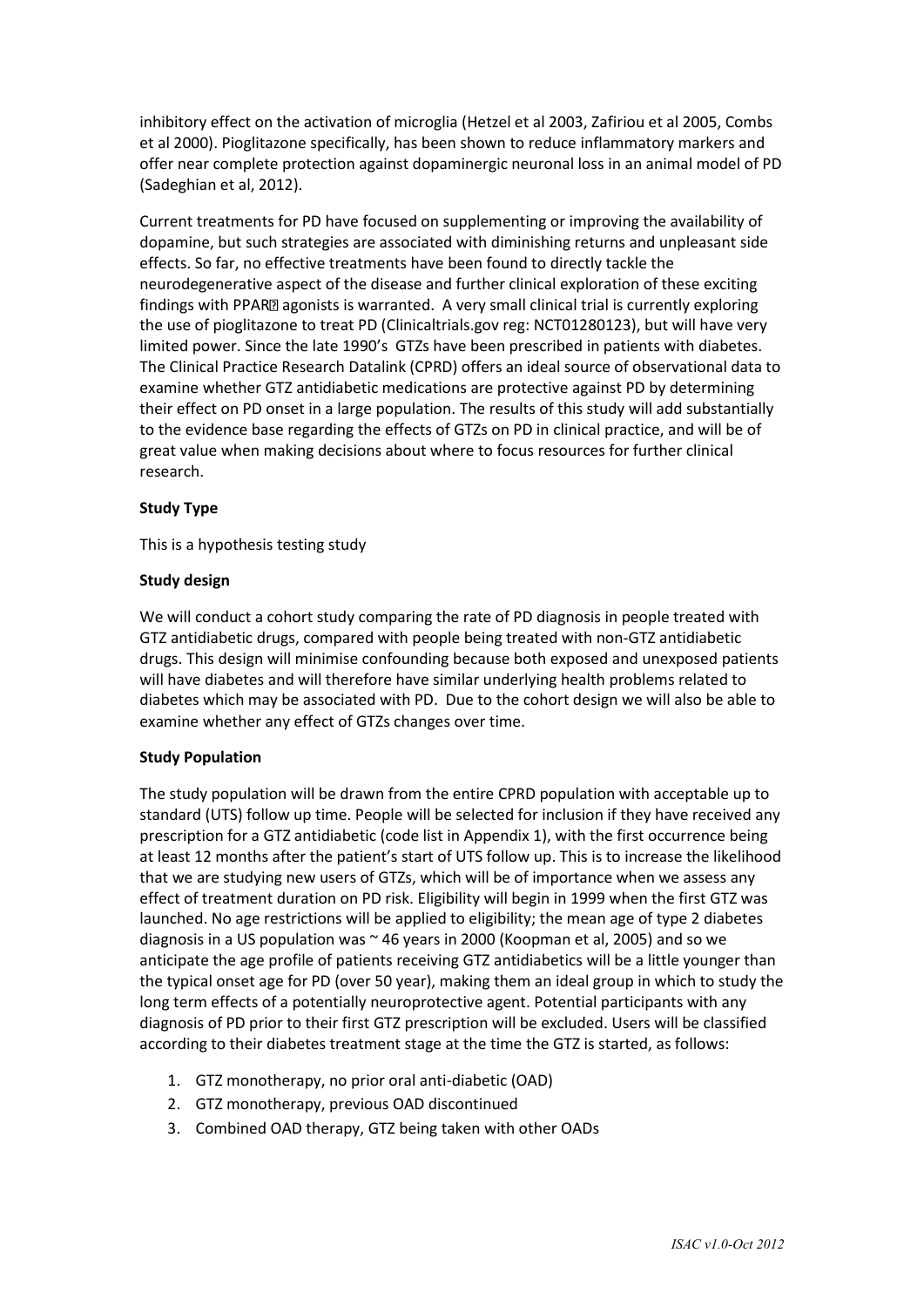inhibitory effect on the activation of microglia (Hetzel et al 2003, Zafiriou et al 2005, Combs et al 2000). Pioglitazone specifically, has been shown to reduce inflammatory markers and offer near complete protection against dopaminergic neuronal loss in an animal model of PD (Sadeghian et al, 2012).

Current treatments for PD have focused on supplementing or improving the availability of dopamine, but such strategies are associated with diminishing returns and unpleasant side effects. So far, no effective treatments have been found to directly tackle the neurodegenerative aspect of the disease and further clinical exploration of these exciting findings with PPAR<sup>®</sup> agonists is warranted. A very small clinical trial is currently exploring the use of pioglitazone to treat PD (Clinicaltrials.gov reg: NCT01280123), but will have very limited power. Since the late 1990's GTZs have been prescribed in patients with diabetes. The Clinical Practice Research Datalink (CPRD) offers an ideal source of observational data to examine whether GTZ antidiabetic medications are protective against PD by determining their effect on PD onset in a large population. The results of this study will add substantially to the evidence base regarding the effects of GTZs on PD in clinical practice, and will be of great value when making decisions about where to focus resources for further clinical research.

## **Study Type**

This is a hypothesis testing study

## **Study design**

We will conduct a cohort study comparing the rate of PD diagnosis in people treated with GTZ antidiabetic drugs, compared with people being treated with non-GTZ antidiabetic drugs. This design will minimise confounding because both exposed and unexposed patients will have diabetes and will therefore have similar underlying health problems related to diabetes which may be associated with PD. Due to the cohort design we will also be able to examine whether any effect of GTZs changes over time.

## **Study Population**

The study population will be drawn from the entire CPRD population with acceptable up to standard (UTS) follow up time. People will be selected for inclusion if they have received any prescription for a GTZ antidiabetic (code list in Appendix 1), with the first occurrence being at least 12 months after the patient's start of UTS follow up. This is to increase the likelihood that we are studying new users of GTZs, which will be of importance when we assess any effect of treatment duration on PD risk. Eligibility will begin in 1999 when the first GTZ was launched. No age restrictions will be applied to eligibility; the mean age of type 2 diabetes diagnosis in a US population was  $\sim$  46 years in 2000 (Koopman et al, 2005) and so we anticipate the age profile of patients receiving GTZ antidiabetics will be a little younger than the typical onset age for PD (over 50 year), making them an ideal group in which to study the long term effects of a potentially neuroprotective agent. Potential participants with any diagnosis of PD prior to their first GTZ prescription will be excluded. Users will be classified according to their diabetes treatment stage at the time the GTZ is started, as follows:

- 1. GTZ monotherapy, no prior oral anti-diabetic (OAD)
- 2. GTZ monotherapy, previous OAD discontinued
- 3. Combined OAD therapy, GTZ being taken with other OADs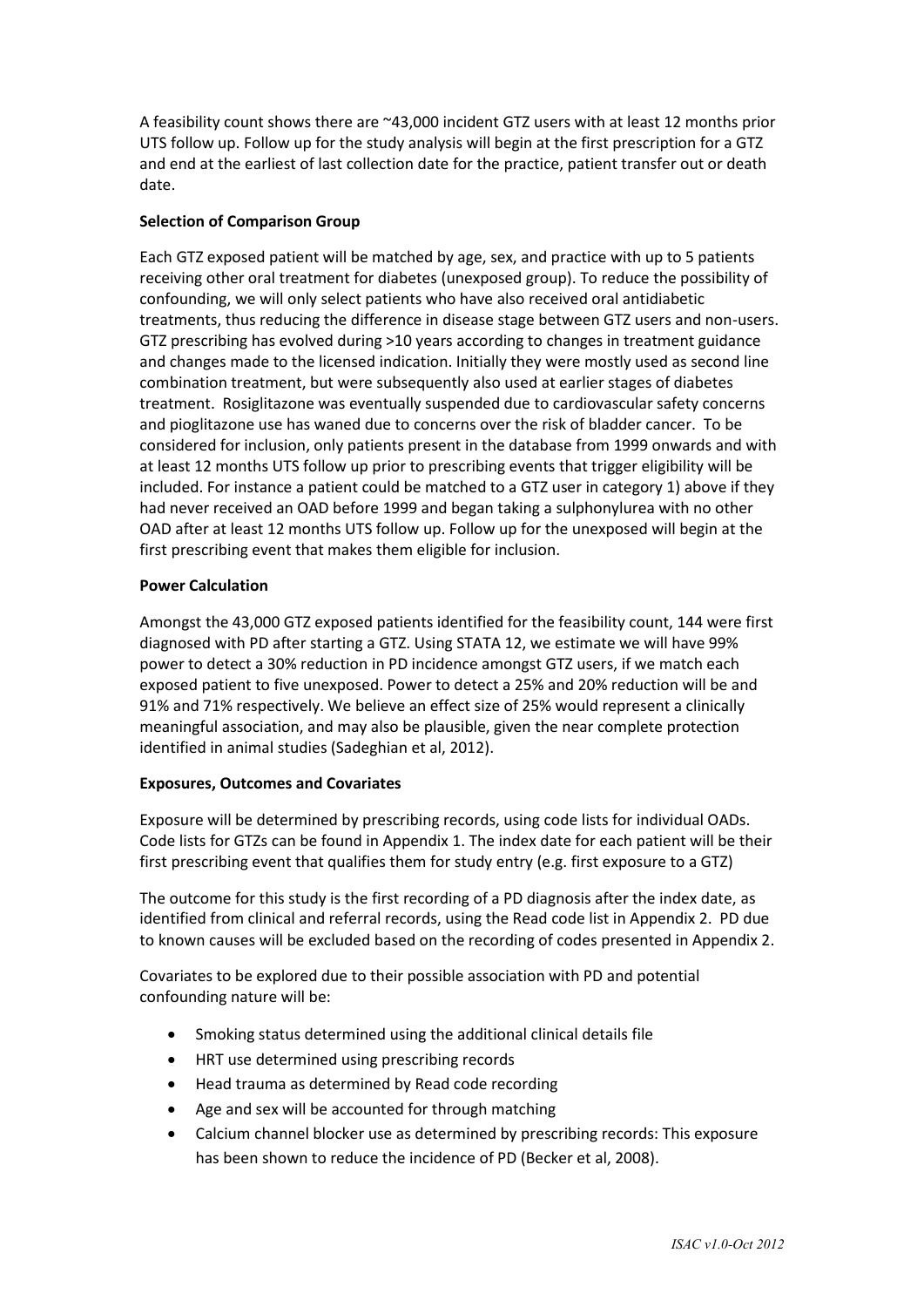A feasibility count shows there are ~43,000 incident GTZ users with at least 12 months prior UTS follow up. Follow up for the study analysis will begin at the first prescription for a GTZ and end at the earliest of last collection date for the practice, patient transfer out or death date.

#### **Selection of Comparison Group**

Each GTZ exposed patient will be matched by age, sex, and practice with up to 5 patients receiving other oral treatment for diabetes (unexposed group). To reduce the possibility of confounding, we will only select patients who have also received oral antidiabetic treatments, thus reducing the difference in disease stage between GTZ users and non-users. GTZ prescribing has evolved during >10 years according to changes in treatment guidance and changes made to the licensed indication. Initially they were mostly used as second line combination treatment, but were subsequently also used at earlier stages of diabetes treatment. Rosiglitazone was eventually suspended due to cardiovascular safety concerns and pioglitazone use has waned due to concerns over the risk of bladder cancer. To be considered for inclusion, only patients present in the database from 1999 onwards and with at least 12 months UTS follow up prior to prescribing events that trigger eligibility will be included. For instance a patient could be matched to a GTZ user in category 1) above if they had never received an OAD before 1999 and began taking a sulphonylurea with no other OAD after at least 12 months UTS follow up. Follow up for the unexposed will begin at the first prescribing event that makes them eligible for inclusion.

#### **Power Calculation**

Amongst the 43,000 GTZ exposed patients identified for the feasibility count, 144 were first diagnosed with PD after starting a GTZ. Using STATA 12, we estimate we will have 99% power to detect a 30% reduction in PD incidence amongst GTZ users, if we match each exposed patient to five unexposed. Power to detect a 25% and 20% reduction will be and 91% and 71% respectively. We believe an effect size of 25% would represent a clinically meaningful association, and may also be plausible, given the near complete protection identified in animal studies (Sadeghian et al, 2012).

#### **Exposures, Outcomes and Covariates**

Exposure will be determined by prescribing records, using code lists for individual OADs. Code lists for GTZs can be found in Appendix 1. The index date for each patient will be their first prescribing event that qualifies them for study entry (e.g. first exposure to a GTZ)

The outcome for this study is the first recording of a PD diagnosis after the index date, as identified from clinical and referral records, using the Read code list in Appendix 2. PD due to known causes will be excluded based on the recording of codes presented in Appendix 2.

Covariates to be explored due to their possible association with PD and potential confounding nature will be:

- Smoking status determined using the additional clinical details file
- HRT use determined using prescribing records
- Head trauma as determined by Read code recording
- Age and sex will be accounted for through matching
- Calcium channel blocker use as determined by prescribing records: This exposure has been shown to reduce the incidence of PD (Becker et al, 2008).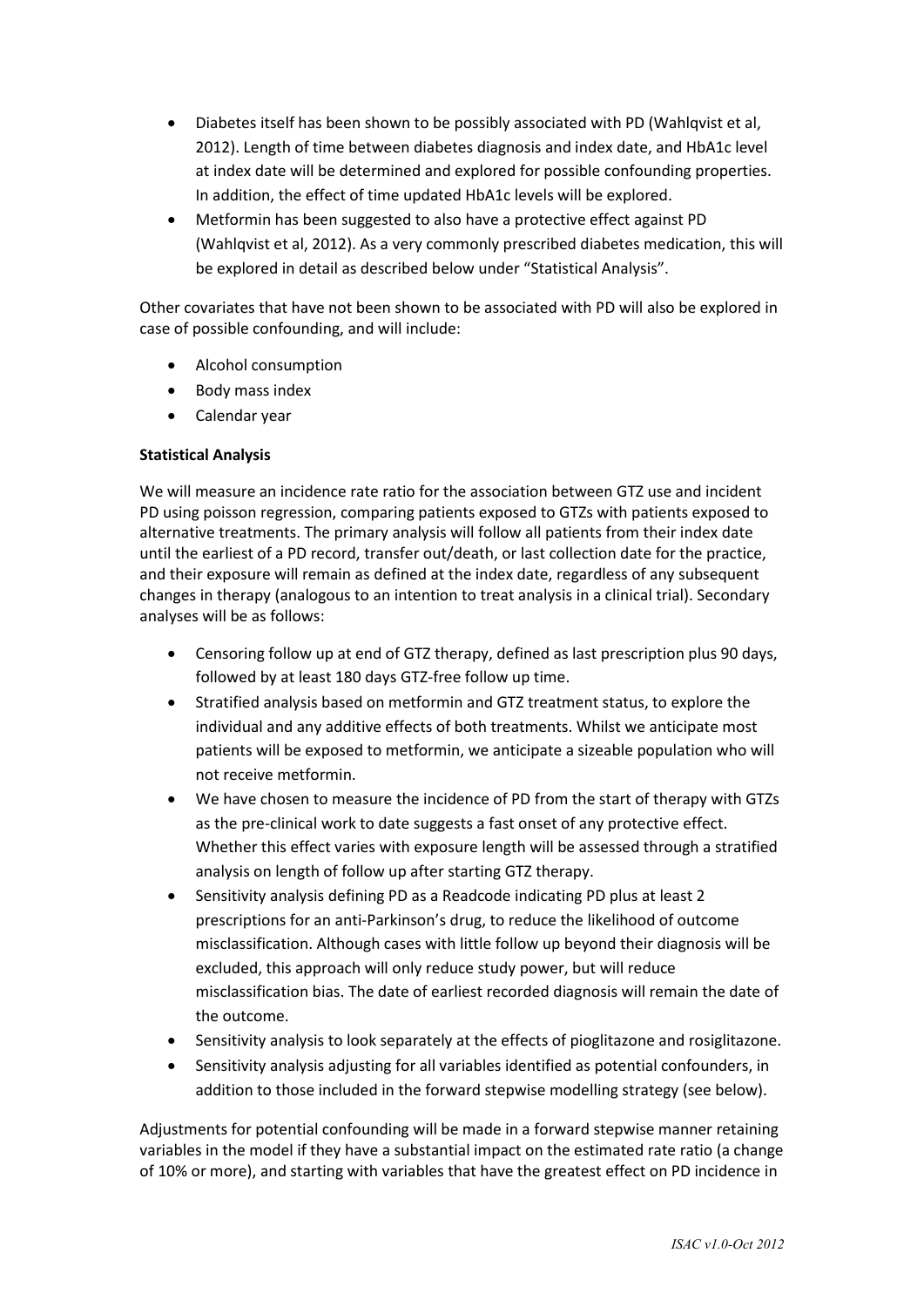- Diabetes itself has been shown to be possibly associated with PD (Wahlqvist et al, 2012). Length of time between diabetes diagnosis and index date, and HbA1c level at index date will be determined and explored for possible confounding properties. In addition, the effect of time updated HbA1c levels will be explored.
- Metformin has been suggested to also have a protective effect against PD (Wahlqvist et al, 2012). As a very commonly prescribed diabetes medication, this will be explored in detail as described below under "Statistical Analysis".

Other covariates that have not been shown to be associated with PD will also be explored in case of possible confounding, and will include:

- Alcohol consumption
- Body mass index
- Calendar year

## **Statistical Analysis**

We will measure an incidence rate ratio for the association between GTZ use and incident PD using poisson regression, comparing patients exposed to GTZs with patients exposed to alternative treatments. The primary analysis will follow all patients from their index date until the earliest of a PD record, transfer out/death, or last collection date for the practice, and their exposure will remain as defined at the index date, regardless of any subsequent changes in therapy (analogous to an intention to treat analysis in a clinical trial). Secondary analyses will be as follows:

- Censoring follow up at end of GTZ therapy, defined as last prescription plus 90 days, followed by at least 180 days GTZ-free follow up time.
- Stratified analysis based on metformin and GTZ treatment status, to explore the individual and any additive effects of both treatments. Whilst we anticipate most patients will be exposed to metformin, we anticipate a sizeable population who will not receive metformin.
- We have chosen to measure the incidence of PD from the start of therapy with GTZs as the pre-clinical work to date suggests a fast onset of any protective effect. Whether this effect varies with exposure length will be assessed through a stratified analysis on length of follow up after starting GTZ therapy.
- Sensitivity analysis defining PD as a Readcode indicating PD plus at least 2 prescriptions for an anti-Parkinson's drug, to reduce the likelihood of outcome misclassification. Although cases with little follow up beyond their diagnosis will be excluded, this approach will only reduce study power, but will reduce misclassification bias. The date of earliest recorded diagnosis will remain the date of the outcome.
- Sensitivity analysis to look separately at the effects of pioglitazone and rosiglitazone.
- Sensitivity analysis adjusting for all variables identified as potential confounders, in addition to those included in the forward stepwise modelling strategy (see below).

Adjustments for potential confounding will be made in a forward stepwise manner retaining variables in the model if they have a substantial impact on the estimated rate ratio (a change of 10% or more), and starting with variables that have the greatest effect on PD incidence in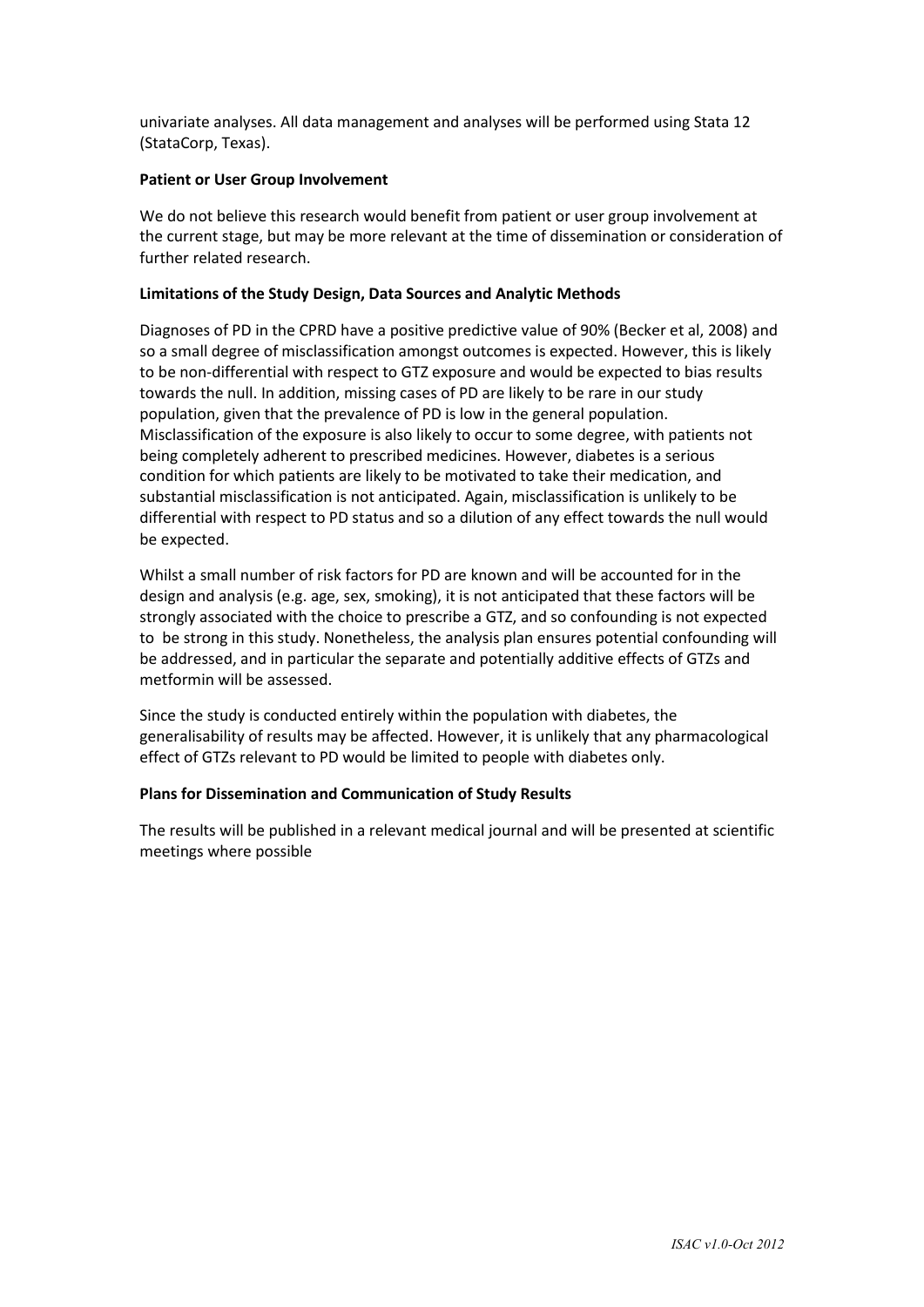univariate analyses. All data management and analyses will be performed using Stata 12 (StataCorp, Texas).

#### **Patient or User Group Involvement**

We do not believe this research would benefit from patient or user group involvement at the current stage, but may be more relevant at the time of dissemination or consideration of further related research.

## **Limitations of the Study Design, Data Sources and Analytic Methods**

Diagnoses of PD in the CPRD have a positive predictive value of 90% (Becker et al, 2008) and so a small degree of misclassification amongst outcomes is expected. However, this is likely to be non-differential with respect to GTZ exposure and would be expected to bias results towards the null. In addition, missing cases of PD are likely to be rare in our study population, given that the prevalence of PD is low in the general population. Misclassification of the exposure is also likely to occur to some degree, with patients not being completely adherent to prescribed medicines. However, diabetes is a serious condition for which patients are likely to be motivated to take their medication, and substantial misclassification is not anticipated. Again, misclassification is unlikely to be differential with respect to PD status and so a dilution of any effect towards the null would be expected.

Whilst a small number of risk factors for PD are known and will be accounted for in the design and analysis (e.g. age, sex, smoking), it is not anticipated that these factors will be strongly associated with the choice to prescribe a GTZ, and so confounding is not expected to be strong in this study. Nonetheless, the analysis plan ensures potential confounding will be addressed, and in particular the separate and potentially additive effects of GTZs and metformin will be assessed.

Since the study is conducted entirely within the population with diabetes, the generalisability of results may be affected. However, it is unlikely that any pharmacological effect of GTZs relevant to PD would be limited to people with diabetes only.

## **Plans for Dissemination and Communication of Study Results**

The results will be published in a relevant medical journal and will be presented at scientific meetings where possible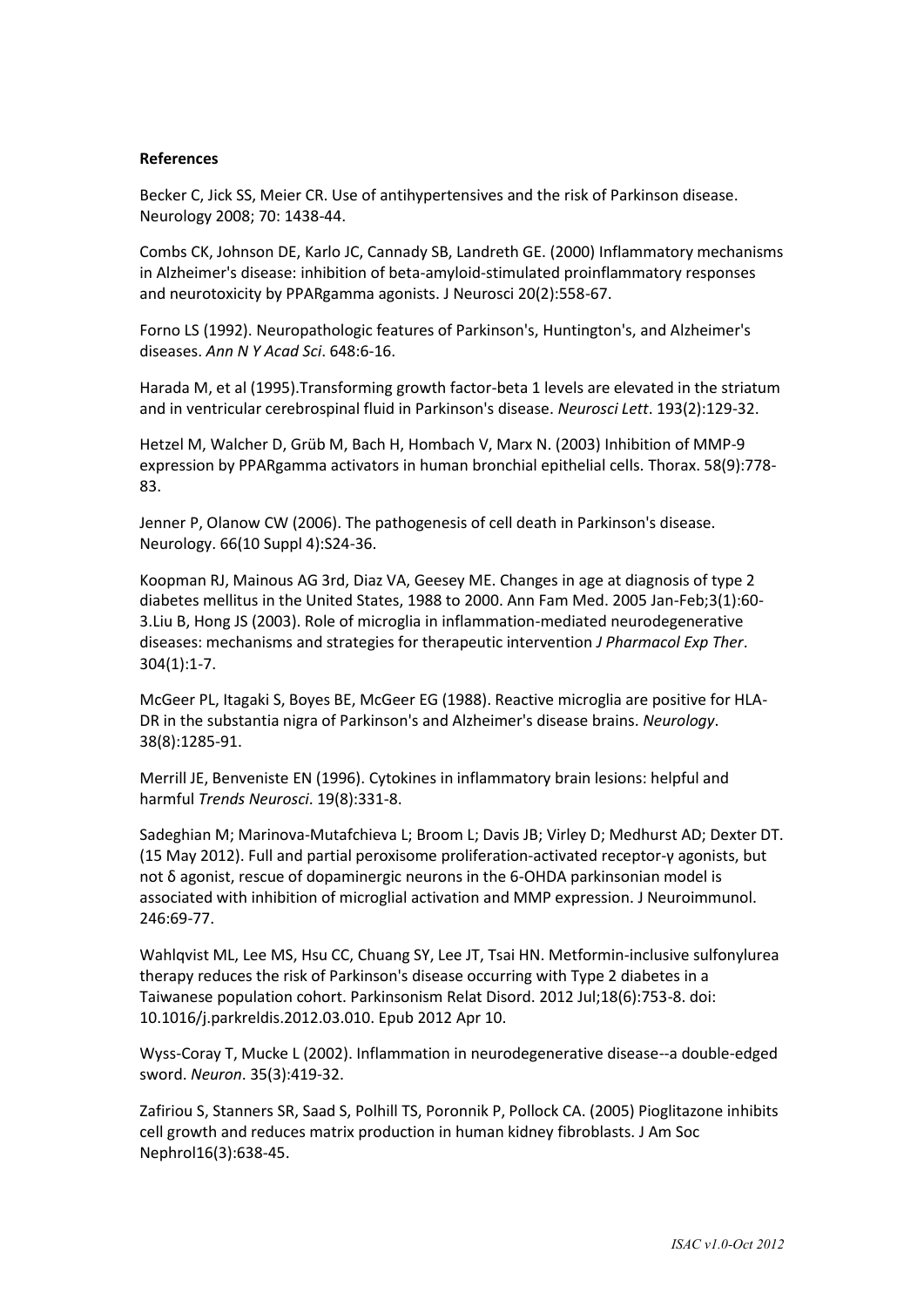#### **References**

Becker C, Jick SS, Meier CR. Use of antihypertensives and the risk of Parkinson disease. Neurology 2008; 70: 1438-44.

Combs CK, Johnson DE, Karlo JC, Cannady SB, Landreth GE. (2000) Inflammatory mechanisms in Alzheimer's disease: inhibition of beta-amyloid-stimulated proinflammatory responses and neurotoxicity by PPARgamma agonists. J Neurosci 20(2):558-67.

Forno LS (1992). Neuropathologic features of Parkinson's, Huntington's, and Alzheimer's diseases. *Ann N Y Acad Sci*. 648:6-16.

Harada M, et al (1995).Transforming growth factor-beta 1 levels are elevated in the striatum and in ventricular cerebrospinal fluid in Parkinson's disease. *Neurosci Lett*. 193(2):129-32.

Hetzel M, Walcher D, Grüb M, Bach H, Hombach V, Marx N. (2003) Inhibition of MMP-9 expression by PPARgamma activators in human bronchial epithelial cells. Thorax. 58(9):778- 83.

Jenner P, Olanow CW (2006). The pathogenesis of cell death in Parkinson's disease. Neurology. 66(10 Suppl 4):S24-36.

Koopman RJ, Mainous AG 3rd, Diaz VA, Geesey ME. Changes in age at diagnosis of type 2 diabetes mellitus in the United States, 1988 to 2000. Ann Fam Med. 2005 Jan-Feb;3(1):60- 3.Liu B, Hong JS (2003). Role of microglia in inflammation-mediated neurodegenerative diseases: mechanisms and strategies for therapeutic intervention *J Pharmacol Exp Ther*. 304(1):1-7.

McGeer PL, Itagaki S, Boyes BE, McGeer EG (1988). Reactive microglia are positive for HLA-DR in the substantia nigra of Parkinson's and Alzheimer's disease brains. *Neurology*. 38(8):1285-91.

Merrill JE, Benveniste EN (1996). Cytokines in inflammatory brain lesions: helpful and harmful *Trends Neurosci*. 19(8):331-8.

Sadeghian M; Marinova-Mutafchieva L; Broom L; Davis JB; Virley D; Medhurst AD; Dexter DT. (15 May 2012). Full and partial peroxisome proliferation-activated receptor-γ agonists, but not δ agonist, rescue of dopaminergic neurons in the 6-OHDA parkinsonian model is associated with inhibition of microglial activation and MMP expression. J Neuroimmunol. 246:69-77.

Wahlqvist ML, Lee MS, Hsu CC, Chuang SY, Lee JT, Tsai HN. Metformin-inclusive sulfonylurea therapy reduces the risk of Parkinson's disease occurring with Type 2 diabetes in a Taiwanese population cohort. Parkinsonism Relat Disord. 2012 Jul;18(6):753-8. doi: 10.1016/j.parkreldis.2012.03.010. Epub 2012 Apr 10.

Wyss-Coray T, Mucke L (2002). Inflammation in neurodegenerative disease--a double-edged sword. *Neuron*. 35(3):419-32.

Zafiriou S, Stanners SR, Saad S, Polhill TS, Poronnik P, Pollock CA. (2005) Pioglitazone inhibits cell growth and reduces matrix production in human kidney fibroblasts. J Am Soc Nephrol16(3):638-45.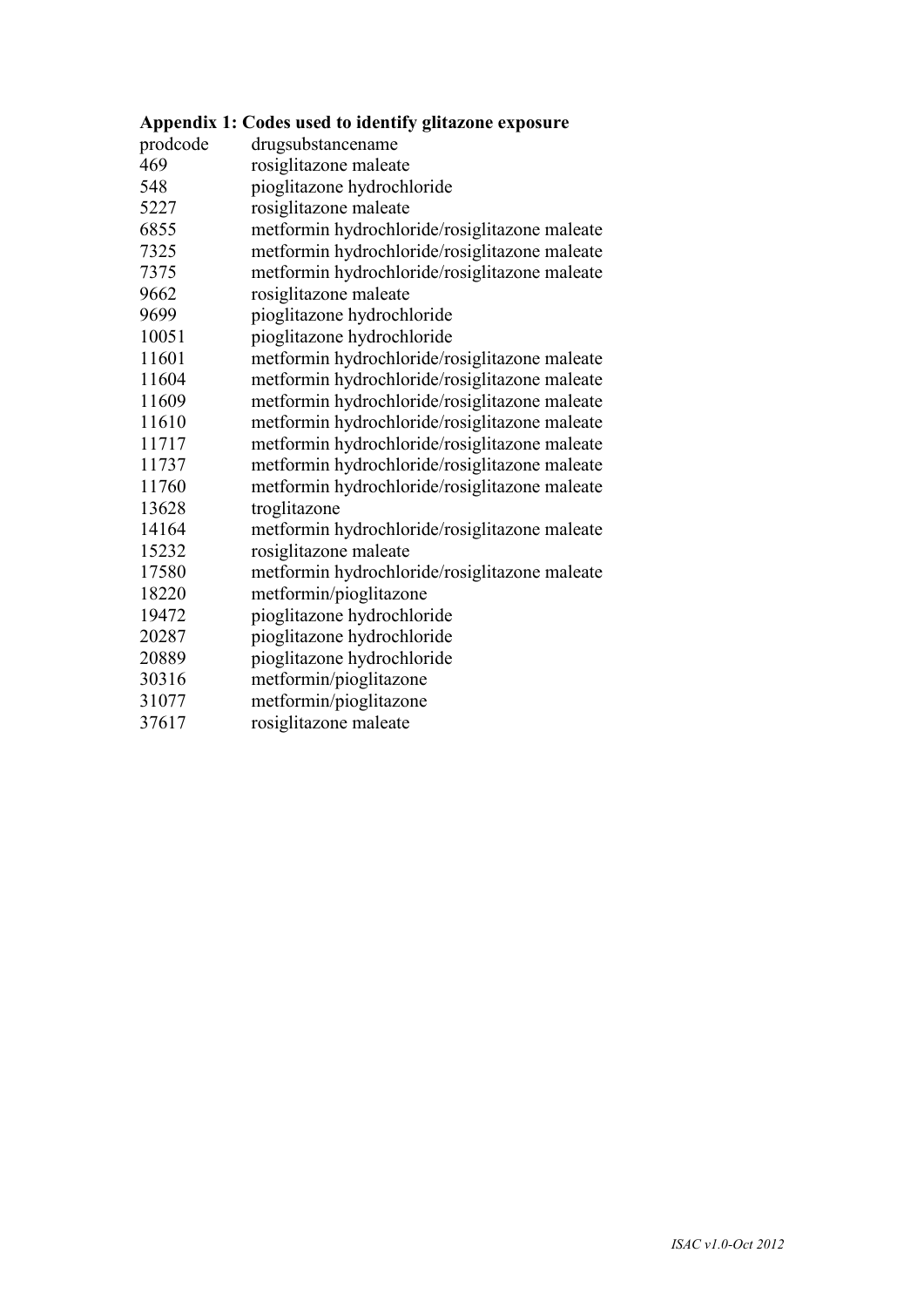|          | Appendix 1: Codes used to identify glitazone exposure |
|----------|-------------------------------------------------------|
| prodcode | drugsubstancename                                     |
| 469      | rosiglitazone maleate                                 |
| 548      | pioglitazone hydrochloride                            |
| 5227     | rosiglitazone maleate                                 |
| 6855     | metformin hydrochloride/rosiglitazone maleate         |
| 7325     | metformin hydrochloride/rosiglitazone maleate         |
| 7375     | metformin hydrochloride/rosiglitazone maleate         |
| 9662     | rosiglitazone maleate                                 |
| 9699     | pioglitazone hydrochloride                            |
| 10051    | pioglitazone hydrochloride                            |
| 11601    | metformin hydrochloride/rosiglitazone maleate         |
| 11604    | metformin hydrochloride/rosiglitazone maleate         |
| 11609    | metformin hydrochloride/rosiglitazone maleate         |
| 11610    | metformin hydrochloride/rosiglitazone maleate         |
| 11717    | metformin hydrochloride/rosiglitazone maleate         |
| 11737    | metformin hydrochloride/rosiglitazone maleate         |
| 11760    | metformin hydrochloride/rosiglitazone maleate         |
| 13628    | troglitazone                                          |
| 14164    | metformin hydrochloride/rosiglitazone maleate         |
| 15232    | rosiglitazone maleate                                 |
| 17580    | metformin hydrochloride/rosiglitazone maleate         |
| 18220    | metformin/pioglitazone                                |
| 19472    | pioglitazone hydrochloride                            |
| 20287    | pioglitazone hydrochloride                            |
| 20889    | pioglitazone hydrochloride                            |
| 30316    | metformin/pioglitazone                                |
| 31077    | metformin/pioglitazone                                |

rosiglitazone maleate